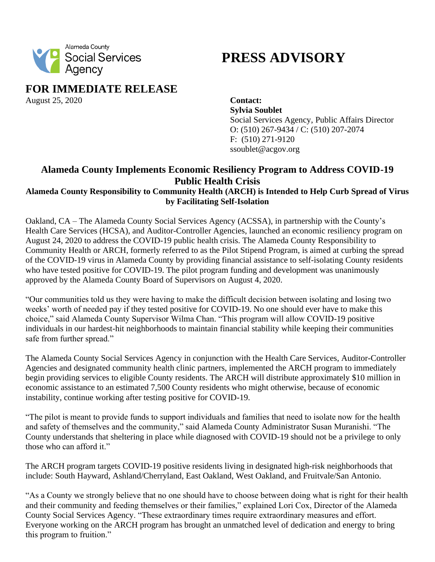

## **PRESS ADVISORY**

**FOR IMMEDIATE RELEASE**

August 25, 2020 **Contact:**

**Sylvia Soublet**  Social Services Agency, Public Affairs Director O: (510) 267-9434 / C: (510) 207-2074 F: (510) 271-9120 ssoublet@acgov.org

## **Alameda County Implements Economic Resiliency Program to Address COVID-19 Public Health Crisis**

## **Alameda County Responsibility to Community Health (ARCH) is Intended to Help Curb Spread of Virus by Facilitating Self-Isolation**

Oakland, CA *–* The Alameda County Social Services Agency (ACSSA), in partnership with the County's Health Care Services (HCSA), and Auditor-Controller Agencies, launched an economic resiliency program on August 24, 2020 to address the COVID-19 public health crisis. The Alameda County Responsibility to Community Health or ARCH, formerly referred to as the Pilot Stipend Program, is aimed at curbing the spread of the COVID-19 virus in Alameda County by providing financial assistance to self-isolating County residents who have tested positive for COVID-19. The pilot program funding and development was unanimously approved by the Alameda County Board of Supervisors on August 4, 2020.

"Our communities told us they were having to make the difficult decision between isolating and losing two weeks' worth of needed pay if they tested positive for COVID-19. No one should ever have to make this choice," said Alameda County Supervisor Wilma Chan. "This program will allow COVID-19 positive individuals in our hardest-hit neighborhoods to maintain financial stability while keeping their communities safe from further spread."

The Alameda County Social Services Agency in conjunction with the Health Care Services, Auditor-Controller Agencies and designated community health clinic partners, implemented the ARCH program to immediately begin providing services to eligible County residents. The ARCH will distribute approximately \$10 million in economic assistance to an estimated 7,500 County residents who might otherwise, because of economic instability, continue working after testing positive for COVID-19.

"The pilot is meant to provide funds to support individuals and families that need to isolate now for the health and safety of themselves and the community," said Alameda County Administrator Susan Muranishi. "The County understands that sheltering in place while diagnosed with COVID-19 should not be a privilege to only those who can afford it."

The ARCH program targets COVID-19 positive residents living in designated high-risk neighborhoods that include: South Hayward, Ashland/Cherryland, East Oakland, West Oakland, and Fruitvale/San Antonio.

"As a County we strongly believe that no one should have to choose between doing what is right for their health and their community and feeding themselves or their families," explained Lori Cox, Director of the Alameda County Social Services Agency. "These extraordinary times require extraordinary measures and effort. Everyone working on the ARCH program has brought an unmatched level of dedication and energy to bring this program to fruition."